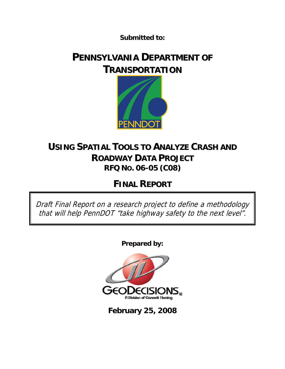**Submitted to:** 

# **PENNSYLVANIA DEPARTMENT OF TRANSPORTATION**



# **USING SPATIAL TOOLS TO ANALYZE CRASH AND ROADWAY DATA PROJECT RFQ NO. 06-05 (C08)**

# **FINAL REPORT**

Draft Final Report on a research project to define a methodology that will help PennDOT "take highway safety to the next level".

**Prepared by:** 



**February 25, 2008**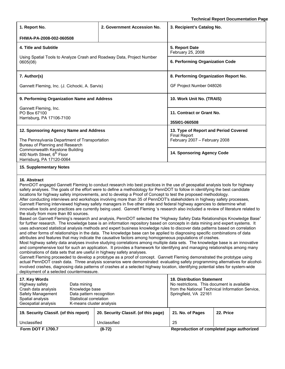**Technical Report Documentation Page**

| 1. Report No.                                                                                                                                                                                                                                                                                                                                                                                                                                                                                                                                                                                                                                                                                                                                                                                                                                                                                                                                                                                                                                                                                                                                                                                                                                                                                                                                                                                                                                                                                                                                                                                                                                                                                                                                                                                                                                                                                                                                                                                                                                                                                                                                                                                                                                                            | 2. Government Accession No.          | 3. Recipient's Catalog No.                                                                                                                                    | recimical Report Documentation Fag        |  |  |
|--------------------------------------------------------------------------------------------------------------------------------------------------------------------------------------------------------------------------------------------------------------------------------------------------------------------------------------------------------------------------------------------------------------------------------------------------------------------------------------------------------------------------------------------------------------------------------------------------------------------------------------------------------------------------------------------------------------------------------------------------------------------------------------------------------------------------------------------------------------------------------------------------------------------------------------------------------------------------------------------------------------------------------------------------------------------------------------------------------------------------------------------------------------------------------------------------------------------------------------------------------------------------------------------------------------------------------------------------------------------------------------------------------------------------------------------------------------------------------------------------------------------------------------------------------------------------------------------------------------------------------------------------------------------------------------------------------------------------------------------------------------------------------------------------------------------------------------------------------------------------------------------------------------------------------------------------------------------------------------------------------------------------------------------------------------------------------------------------------------------------------------------------------------------------------------------------------------------------------------------------------------------------|--------------------------------------|---------------------------------------------------------------------------------------------------------------------------------------------------------------|-------------------------------------------|--|--|
|                                                                                                                                                                                                                                                                                                                                                                                                                                                                                                                                                                                                                                                                                                                                                                                                                                                                                                                                                                                                                                                                                                                                                                                                                                                                                                                                                                                                                                                                                                                                                                                                                                                                                                                                                                                                                                                                                                                                                                                                                                                                                                                                                                                                                                                                          |                                      |                                                                                                                                                               |                                           |  |  |
| FHWA-PA-2008-002-060508                                                                                                                                                                                                                                                                                                                                                                                                                                                                                                                                                                                                                                                                                                                                                                                                                                                                                                                                                                                                                                                                                                                                                                                                                                                                                                                                                                                                                                                                                                                                                                                                                                                                                                                                                                                                                                                                                                                                                                                                                                                                                                                                                                                                                                                  |                                      |                                                                                                                                                               |                                           |  |  |
| 4. Title and Subtitle                                                                                                                                                                                                                                                                                                                                                                                                                                                                                                                                                                                                                                                                                                                                                                                                                                                                                                                                                                                                                                                                                                                                                                                                                                                                                                                                                                                                                                                                                                                                                                                                                                                                                                                                                                                                                                                                                                                                                                                                                                                                                                                                                                                                                                                    |                                      | 5. Report Date<br>February 25, 2008                                                                                                                           |                                           |  |  |
| Using Spatial Tools to Analyze Crash and Roadway Data, Project Number<br>0605(08)                                                                                                                                                                                                                                                                                                                                                                                                                                                                                                                                                                                                                                                                                                                                                                                                                                                                                                                                                                                                                                                                                                                                                                                                                                                                                                                                                                                                                                                                                                                                                                                                                                                                                                                                                                                                                                                                                                                                                                                                                                                                                                                                                                                        |                                      | 6. Performing Organization Code                                                                                                                               |                                           |  |  |
| 7. Author(s)                                                                                                                                                                                                                                                                                                                                                                                                                                                                                                                                                                                                                                                                                                                                                                                                                                                                                                                                                                                                                                                                                                                                                                                                                                                                                                                                                                                                                                                                                                                                                                                                                                                                                                                                                                                                                                                                                                                                                                                                                                                                                                                                                                                                                                                             |                                      | 8. Performing Organization Report No.                                                                                                                         |                                           |  |  |
| Gannett Fleming, Inc. (J. Cichocki, A. Sarvis)                                                                                                                                                                                                                                                                                                                                                                                                                                                                                                                                                                                                                                                                                                                                                                                                                                                                                                                                                                                                                                                                                                                                                                                                                                                                                                                                                                                                                                                                                                                                                                                                                                                                                                                                                                                                                                                                                                                                                                                                                                                                                                                                                                                                                           |                                      | GF Project Number 048026                                                                                                                                      |                                           |  |  |
| 9. Performing Organization Name and Address                                                                                                                                                                                                                                                                                                                                                                                                                                                                                                                                                                                                                                                                                                                                                                                                                                                                                                                                                                                                                                                                                                                                                                                                                                                                                                                                                                                                                                                                                                                                                                                                                                                                                                                                                                                                                                                                                                                                                                                                                                                                                                                                                                                                                              |                                      | 10. Work Unit No. (TRAIS)                                                                                                                                     |                                           |  |  |
| Gannett Fleming, Inc.<br>PO Box 67100                                                                                                                                                                                                                                                                                                                                                                                                                                                                                                                                                                                                                                                                                                                                                                                                                                                                                                                                                                                                                                                                                                                                                                                                                                                                                                                                                                                                                                                                                                                                                                                                                                                                                                                                                                                                                                                                                                                                                                                                                                                                                                                                                                                                                                    |                                      | 11. Contract or Grant No.                                                                                                                                     |                                           |  |  |
| Harrisburg, PA 17106-7100                                                                                                                                                                                                                                                                                                                                                                                                                                                                                                                                                                                                                                                                                                                                                                                                                                                                                                                                                                                                                                                                                                                                                                                                                                                                                                                                                                                                                                                                                                                                                                                                                                                                                                                                                                                                                                                                                                                                                                                                                                                                                                                                                                                                                                                |                                      | 355101-060508                                                                                                                                                 |                                           |  |  |
| 12. Sponsoring Agency Name and Address<br>The Pennsylvania Department of Transportation<br>Bureau of Planning and Research                                                                                                                                                                                                                                                                                                                                                                                                                                                                                                                                                                                                                                                                                                                                                                                                                                                                                                                                                                                                                                                                                                                                                                                                                                                                                                                                                                                                                                                                                                                                                                                                                                                                                                                                                                                                                                                                                                                                                                                                                                                                                                                                               |                                      | 13. Type of Report and Period Covered<br><b>Final Report</b><br>February 2007 - February 2008                                                                 |                                           |  |  |
| Commonwealth Keystone Building<br>400 North Street, 6 <sup>th</sup> Floor<br>Harrisburg, PA 17120-0064                                                                                                                                                                                                                                                                                                                                                                                                                                                                                                                                                                                                                                                                                                                                                                                                                                                                                                                                                                                                                                                                                                                                                                                                                                                                                                                                                                                                                                                                                                                                                                                                                                                                                                                                                                                                                                                                                                                                                                                                                                                                                                                                                                   |                                      | 14. Sponsoring Agency Code                                                                                                                                    |                                           |  |  |
| 15. Supplementary Notes                                                                                                                                                                                                                                                                                                                                                                                                                                                                                                                                                                                                                                                                                                                                                                                                                                                                                                                                                                                                                                                                                                                                                                                                                                                                                                                                                                                                                                                                                                                                                                                                                                                                                                                                                                                                                                                                                                                                                                                                                                                                                                                                                                                                                                                  |                                      |                                                                                                                                                               |                                           |  |  |
| 16. Abstract<br>PennDOT engaged Gannett Fleming to conduct research into best practices in the use of geospatial analysis tools for highway<br>safety analyses. The goals of the effort were to define a methodology for PennDOT to follow in identifying the best candidate<br>locations for highway safety improvements, and to develop a Proof of Concept to test the proposed methodology.<br>After conducting interviews and workshops involving more than 35 of PennDOT's stakeholders in highway safety processes,<br>Gannett Fleming interviewed highway safety managers in five other state and federal highway agencies to determine what<br>innovative tools and practices are currently being used. Gannett Fleming 's research also included a review of literature related to<br>the study from more than 80 sources.<br>Based on Gannett Fleming's research and analysis, PennDOT selected the "Highway Safety Data Relationships Knowledge Base"<br>for further research. The knowledge base is an information repository based on concepts in data mining and expert systems. It<br>uses advanced statistical analysis methods and expert business knowledge rules to discover data patterns based on correlation<br>and other forms of relationships in the data. The knowledge base can be applied to diagnosing specific combinations of data<br>attributes and features that may indicate the causative factors among homogeneous populations of crashes.<br>Most highway safety data analyses involve studying correlations among multiple data sets. The knowledge base is an innovative<br>and comprehensive tool for such an application. It provides a framework for identifying and managing relationships among many<br>combinations of data sets that are useful in highway safety analyses.<br>Gannett Fleming proceeded to develop a prototype as a proof of concept. Gannett Fleming demonstrated the prototype using<br>actual PennDOT crash data. Three analysis scenarios were demonstrated: evaluating safety programming alternatives for alcohol-<br>involved crashes, diagnosing data patterns of crashes at a selected highway location, identifying potential sites for system-wide<br>deployment of a selected countermeasure. |                                      |                                                                                                                                                               |                                           |  |  |
| 17. Key Words<br>Highway safety<br>Data mining<br>Crash data analysis<br>Knowledge base<br>Safety Management<br>Data pattern recognition<br>Spatial analysis<br>Statistical correlation<br>Geospatial analysis<br>K-means cluster analysis                                                                                                                                                                                                                                                                                                                                                                                                                                                                                                                                                                                                                                                                                                                                                                                                                                                                                                                                                                                                                                                                                                                                                                                                                                                                                                                                                                                                                                                                                                                                                                                                                                                                                                                                                                                                                                                                                                                                                                                                                               |                                      | <b>18. Distribution Statement</b><br>No restrictions. This document is available<br>from the National Technical Information Service,<br>Springfield, VA 22161 |                                           |  |  |
| 19. Security Classif. (of this report)                                                                                                                                                                                                                                                                                                                                                                                                                                                                                                                                                                                                                                                                                                                                                                                                                                                                                                                                                                                                                                                                                                                                                                                                                                                                                                                                                                                                                                                                                                                                                                                                                                                                                                                                                                                                                                                                                                                                                                                                                                                                                                                                                                                                                                   | 20. Security Classif. (of this page) | 21. No. of Pages                                                                                                                                              | 22. Price                                 |  |  |
| Unclassified                                                                                                                                                                                                                                                                                                                                                                                                                                                                                                                                                                                                                                                                                                                                                                                                                                                                                                                                                                                                                                                                                                                                                                                                                                                                                                                                                                                                                                                                                                                                                                                                                                                                                                                                                                                                                                                                                                                                                                                                                                                                                                                                                                                                                                                             | Unclassified                         | 25                                                                                                                                                            |                                           |  |  |
| Form DOT F 1700.7                                                                                                                                                                                                                                                                                                                                                                                                                                                                                                                                                                                                                                                                                                                                                                                                                                                                                                                                                                                                                                                                                                                                                                                                                                                                                                                                                                                                                                                                                                                                                                                                                                                                                                                                                                                                                                                                                                                                                                                                                                                                                                                                                                                                                                                        | $(8-72)$                             |                                                                                                                                                               | Reproduction of completed page authorized |  |  |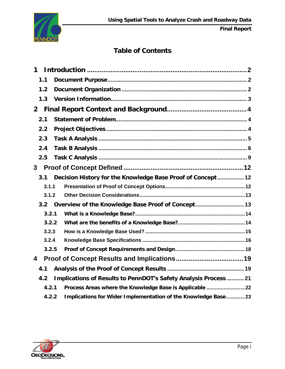

# **Table of Contents**

| 1            |     |       |                                                                  |
|--------------|-----|-------|------------------------------------------------------------------|
|              | 1.1 |       |                                                                  |
|              | 1.2 |       |                                                                  |
|              | 1.3 |       |                                                                  |
| $\mathbf{2}$ |     |       |                                                                  |
|              | 2.1 |       |                                                                  |
|              | 2.2 |       |                                                                  |
|              | 2.3 |       |                                                                  |
|              | 2.4 |       |                                                                  |
|              | 2.5 |       |                                                                  |
| $\mathbf{3}$ |     |       |                                                                  |
|              | 3.1 |       | Decision History for the Knowledge Base Proof of Concept 12      |
|              |     | 3.1.1 |                                                                  |
|              |     | 3.1.2 |                                                                  |
|              | 3.2 |       | Overview of the Knowledge Base Proof of Concept 13               |
|              |     | 3.2.1 |                                                                  |
|              |     | 3.2.2 |                                                                  |
|              |     | 3.2.3 |                                                                  |
|              |     | 3.2.4 |                                                                  |
|              |     | 3.2.5 |                                                                  |
| 4            |     |       |                                                                  |
|              | 4.1 |       |                                                                  |
|              | 4.2 |       | Implications of Results to PennDOT's Safety Analysis Process  21 |
|              |     | 4.2.1 | Process Areas where the Knowledge Base is Applicable  22         |
|              |     | 4.2.2 | Implications for Wider Implementation of the Knowledge Base23    |

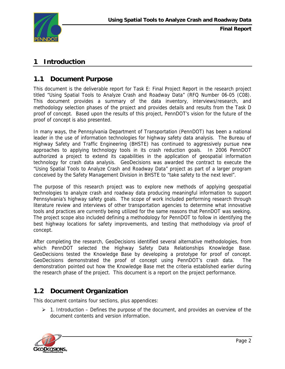<span id="page-3-0"></span>

# **1 Introduction**

### **1.1 Document Purpose**

This document is the deliverable report for Task E: Final Project Report in the research project titled "Using Spatial Tools to Analyze Crash and Roadway Data" (RFQ Number 06-05 (C08). This document provides a summary of the data inventory, interviews/research, and methodology selection phases of the project and provides details and results from the Task D proof of concept. Based upon the results of this project, PennDOT's vision for the future of the proof of concept is also presented.

In many ways, the Pennsylvania Department of Transportation (PennDOT) has been a national leader in the use of information technologies for highway safety data analysis. The Bureau of Highway Safety and Traffic Engineering (BHSTE) has continued to aggressively pursue new approaches to applying technology tools in its crash reduction goals. In 2006 PennDOT authorized a project to extend its capabilities in the application of geospatial information technology for crash data analysis. GeoDecisions was awarded the contract to execute the "Using Spatial Tools to Analyze Crash and Roadway Data" project as part of a larger program conceived by the Safety Management Division in BHSTE to "take safety to the next level".

The purpose of this research project was to explore new methods of applying geospatial technologies to analyze crash and roadway data producing meaningful information to support Pennsylvania's highway safety goals. The scope of work included performing research through literature review and interviews of other transportation agencies to determine what innovative tools and practices are currently being utilized for the same reasons that PennDOT was seeking. The project scope also included defining a methodology for PennDOT to follow in identifying the best highway locations for safety improvements, and testing that methodology via proof of concept.

After completing the research, GeoDecisions identified several alternative methodologies, from which PennDOT selected the Highway Safety Data Relationships Knowledge Base. GeoDecisions tested the Knowledge Base by developing a prototype for proof of concept. GeoDecisions demonstrated the proof of concept using PennDOT's crash data. The demonstration pointed out how the Knowledge Base met the criteria established earlier during the research phase of the project. This document is a report on the project performance.

## **1.2 Document Organization**

This document contains four sections, plus appendices:

 $\geq 1$ . Introduction – Defines the purpose of the document, and provides an overview of the document contents and version information.

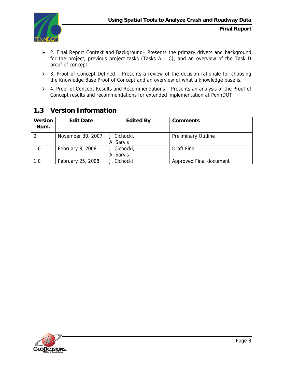<span id="page-4-0"></span>

- ¾ 2. Final Report Context and Background– Presents the primary drivers and background for the project, previous project tasks (Tasks  $A - C$ ), and an overview of the Task D proof of concept.
- ¾ 3. Proof of Concept Defined Presents a review of the decision rationale for choosing the Knowledge Base Proof of Concept and an overview of what a knowledge base is.
- ¾ 4. Proof of Concept Results and Recommendations Presents an analysis of the Proof of Concept results and recommendations for extended implementation at PennDOT.

| <b>Version</b><br>Num. | <b>Edit Date</b>  | <b>Edited By</b>          | <b>Comments</b>            |
|------------------------|-------------------|---------------------------|----------------------------|
|                        | November 30, 2007 | J. Cichocki,<br>A. Sarvis | <b>Preliminary Outline</b> |
| 1.0                    | February 8, 2008  | J. Cichocki,<br>A. Sarvis | Draft Final                |
| 1.0                    | February 25, 2008 | J. Cichocki               | Approved Final document    |

# **1.3 Version Information**

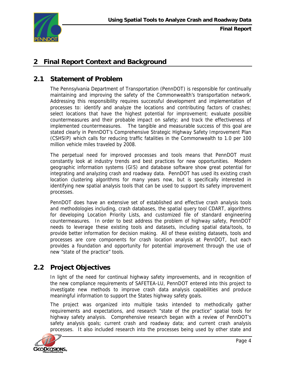<span id="page-5-0"></span>

## **2 Final Report Context and Background**

### **2.1 Statement of Problem**

The Pennsylvania Department of Transportation (PennDOT) is responsible for continually maintaining and improving the safety of the Commonwealth's transportation network. Addressing this responsibility requires successful development and implementation of processes to: identify and analyze the locations and contributing factors of crashes; select locations that have the highest potential for improvement; evaluate possible countermeasures and their probable impact on safety; and track the effectiveness of implemented countermeasures. The tangible and measurable success of this goal are stated clearly in PennDOT's Comprehensive Strategic Highway Safety Improvement Plan (CSHSIP) which calls for reducing traffic fatalities in the Commonwealth to 1.0 per 100 million vehicle miles traveled by 2008.

The perpetual need for improved processes and tools means that PennDOT must constantly look at industry trends and best practices for new opportunities. Modern geographic information systems (GIS) and database software show great potential for integrating and analyzing crash and roadway data. PennDOT has used its existing crash location clustering algorithms for many years now, but is specifically interested in identifying new spatial analysis tools that can be used to support its safety improvement processes.

PennDOT does have an extensive set of established and effective crash analysis tools and methodologies including, crash databases, the spatial query tool CDART, algorithms for developing Location Priority Lists, and customized file of standard engineering countermeasures. In order to best address the problem of highway safety, PennDOT needs to leverage these existing tools and datasets, including spatial data/tools, to provide better information for decision making. All of these existing datasets, tools and processes are core components for crash location analysis at PennDOT, but each provides a foundation and opportunity for potential improvement through the use of new "state of the practice" tools.

## **2.2 Project Objectives**

In light of the need for continual highway safety improvements, and in recognition of the new compliance requirements of SAFETEA-LU, PennDOT entered into this project to investigate new methods to improve crash data analysis capabilities and produce meaningful information to support the States highway safety goals.

The project was organized into multiple tasks intended to methodically gather requirements and expectations, and research "state of the practice" spatial tools for highway safety analysis. Comprehensive research began with a review of PennDOT's safety analysis goals; current crash and roadway data; and current crash analysis processes. It also included research into the processes being used by other state and

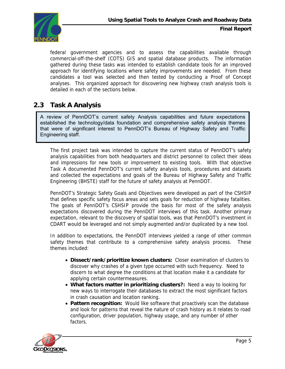<span id="page-6-0"></span>

federal government agencies and to assess the capabilities available through commercial-off-the-shelf (COTS) GIS and spatial database products. The information gathered during these tasks was intended to establish candidate tools for an improved approach for identifying locations where safety improvements are needed. From these candidates a tool was selected and then tested by conducting a Proof of Concept analyses. This organized approach for discovering new highway crash analysis tools is detailed in each of the sections below.

### **2.3 Task A Analysis**

A review of PennDOT's current safety Analysis capabilities and future expectations established the technology/data foundation and comprehensive safety analysis themes that were of significant interest to PennDOT's Bureau of Highway Safety and Traffic Engineering staff.

The first project task was intended to capture the current status of PennDOT's safety analysis capabilities from both headquarters and district personnel to collect their ideas and impressions for new tools or improvement to existing tools. With that objective Task A documented PennDOT's current safety analysis tools, procedures and datasets and collected the expectations and goals of the Bureau of Highway Safety and Traffic Engineering (BHSTE) staff for the future of safety analysis at PennDOT.

PennDOT's Strategic Safety Goals and Objectives were developed as part of the CSHSIP that defines specific safety focus areas and sets goals for reduction of highway fatalities. The goals of PennDOT's CSHSIP provide the basis for most of the safety analysis expectations discovered during the PennDOT interviews of this task. Another primary expectation, relevant to the discovery of spatial tools, was that PennDOT's investment in CDART would be leveraged and not simply augmented and/or duplicated by a new tool.

In addition to expectations, the PennDOT interviews yielded a range of other common safety themes that contribute to a comprehensive safety analysis process. These themes included:

- **Dissect/rank/prioritize known clusters:** Closer examination of clusters to discover why crashes of a given type occurred with such frequency. Need to discern to what degree the conditions at that location make it a candidate for applying certain countermeasures.
- **What factors matter in prioritizing clusters?:** Need a way to looking for new ways to interrogate their databases to extract the most significant factors in crash causation and location ranking.
- **Pattern recognition:** Would like software that proactively scan the database and look for patterns that reveal the nature of crash history as it relates to road configuration, driver population, highway usage, and any number of other factors.

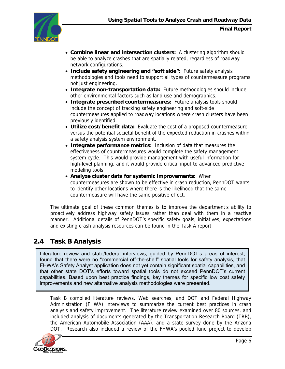<span id="page-7-0"></span>

- **Combine linear and intersection clusters:** A clustering algorithm should be able to analyze crashes that are spatially related, regardless of roadway network configurations.
- **Include safety engineering and "soft side":** Future safety analysis methodologies and tools need to support all types of countermeasure programs not just engineering.
- **Integrate non-transportation data:** Future methodologies should include other environmental factors such as land use and demographics.
- **Integrate prescribed countermeasures:** Future analysis tools should include the concept of tracking safety engineering and soft-side countermeasures applied to roadway locations where crash clusters have been previously identified.
- **Utilize cost/benefit data:** Evaluate the cost of a proposed countermeasure versus the potential societal benefit of the expected reduction in crashes within a safety analysis system environment.
- **Integrate performance metrics:** Inclusion of data that measures the effectiveness of countermeasures would complete the safety management system cycle. This would provide management with useful information for high-level planning, and it would provide critical input to advanced predictive modeling tools.
- **Analyze cluster data for systemic improvements:** When countermeasures are shown to be effective in crash reduction, PennDOT wants to identify other locations where there is the likelihood that the same countermeasure will have the same positive effect.

The ultimate goal of these common themes is to improve the department's ability to proactively address highway safety issues rather than deal with them in a reactive manner. Additional details of PennDOT's specific safety goals, initiatives, expectations and existing crash analysis resources can be found in the Task A report.

## **2.4 Task B Analysis**

Literature review and state/federal interviews, guided by PennDOT's areas of interest, found that there were no "commercial off-the-shelf" spatial tools for safety analysis, that FHWA's Safety Analyst application does not yet contain significant spatial capabilities, and that other state DOT's efforts toward spatial tools do not exceed PennDOT's current capabilities. Based upon best practice findings, key themes for specific low cost safety improvements and new alternative analysis methodologies were presented.

Task B compiled literature reviews, Web searches, and DOT and Federal Highway Administration (FHWA) interviews to summarize the current best practices in crash analysis and safety improvement. The literature review examined over 80 sources, and included analysis of documents generated by the Transportation Research Board (TRB), the American Automobile Association (AAA), and a state survey done by the Arizona DOT. Research also included a review of the FHWA's pooled fund project to develop

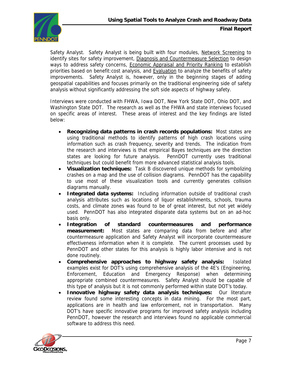

Safety Analyst. Safety Analyst is being built with four modules, Network Screening to identify sites for safety improvement, Diagnosis and Countermeasure Selection to design ways to address safety concerns, Economic Appraisal and Priority Ranking to establish priorities based on benefit:cost analysis, and Evaluation to analyze the benefits of safety improvements. Safety Analyst is, however, only in the beginning stages of adding geospatial capabilities and focuses primarily on the traditional engineering side of safety analysis without significantly addressing the soft side aspects of highway safety.

Interviews were conducted with FHWA, Iowa DOT, New York State DOT, Ohio DOT, and Washington State DOT. The research as well as the FHWA and state interviews focused on specific areas of interest. These areas of interest and the key findings are listed below:

- **Recognizing data patterns in crash records populations:** Most states are using traditional methods to identify patterns of high crash locations using information such as crash frequency, severity and trends. The indication from the research and interviews is that empirical Bayes techniques are the direction states are looking for future analysis. PennDOT currently uses traditional techniques but could benefit from more advanced statistical analysis tools.
- **Visualization techniques:** Task B discovered unique methods for symbolizing crashes on a map and the use of collision diagrams. PennDOT has the capability to use most of these visualization tools and currently generates collision diagrams manually.
- **Integrated data systems:** Including information outside of traditional crash analysis attributes such as locations of liquor establishments, schools, trauma costs, and climate zones was found to be of great interest, but not yet widely used. PennDOT has also integrated disparate data systems but on an ad-hoc basis only.
- **Integration of standard countermeasures and performance measurement:** Most states are comparing data from before and after countermeasure application and Safety Analyst will incorporate countermeasure effectiveness information when it is complete. The current processes used by PennDOT and other states for this analysis is highly labor intensive and is not done routinely.
- **Comprehensive approaches to highway safety analysis:** Isolated examples exist for DOT's using comprehensive analysis of the 4E's (Engineering, Enforcement, Education and Emergency Response) when determining appropriate combined countermeasures. Safety Analyst should be capable of this type of analysis but it is not commonly performed within state DOT's today.
- **Innovative highway safety data analysis techniques:** Our literature review found some interesting concepts in data mining. For the most part, applications are in health and law enforcement, not in transportation. Many DOT's have specific innovative programs for improved safety analysis including PennDOT, however the research and interviews found no applicable commercial software to address this need.

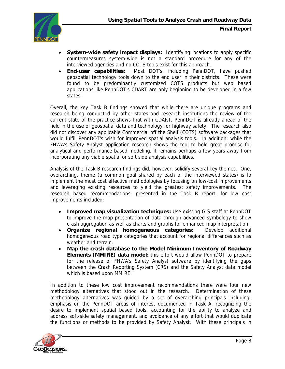

- **System-wide safety impact displays:** Identifying locations to apply specific countermeasures system-wide is not a standard procedure for any of the interviewed agencies and no COTS tools exist for this approach.
- **End-user capabilities:** Most DOT's, including PennDOT, have pushed geospatial technology tools down to the end user in their districts. These were found to be predominantly customized COTS products but web based applications like PennDOT's CDART are only beginning to be developed in a few states.

Overall, the key Task B findings showed that while there are unique programs and research being conducted by other states and research institutions the review of the current state of the practice shows that with CDART, PennDOT is already ahead of the field in the use of geospatial data and technology for highway safety. The research also did not discover any applicable Commercial off the Shelf (COTS) software packages that would fulfill PennDOT's wish for improved spatial analysis tools. In addition; while the FHWA's Safety Analyst application research shows the tool to hold great promise for analytical and performance based modeling, it remains perhaps a few years away from incorporating any viable spatial or soft side analysis capabilities.

Analysis of the Task B research findings did, however, solidify several key themes. One, overarching, theme (a common goal shared by each of the interviewed states) is to implement the most cost effective methodologies by focusing on low-cost improvements and leveraging existing resources to yield the greatest safety improvements. The research based recommendations, presented in the Task B report, for low cost improvements included:

- **Improved map visualization techniques:** Use existing GIS staff at PennDOT to improve the map presentation of data through advanced symbology to show crash aggregation as well as charts and graphs for enhanced map interpretation.
- **Organize regional homogeneous categories:** Develop additional homogeneous road type categories that account for regional differences such as weather and terrain.
- **Map the crash database to the Model Minimum Inventory of Roadway Elements (MMIRE) data model:** this effort would allow PennDOT to prepare for the release of FHWA's Safety Analyst software by identifying the gaps between the Crash Reporting System (CRS) and the Safety Analyst data model which is based upon MMIRE.

In addition to these low cost improvement recommendations there were four new methodology alternatives that stood out in the research. Determination of these methodology alternatives was guided by a set of overarching principals including: emphasis on the PennDOT areas of interest documented in Task A, recognizing the desire to implement spatial based tools, accounting for the ability to analyze and address soft-side safety management, and avoidance of any effort that would duplicate the functions or methods to be provided by Safety Analyst. With these principals in

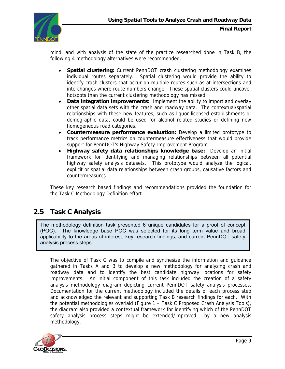<span id="page-10-0"></span>

mind, and with analysis of the state of the practice researched done in Task B, the following 4 methodology alternatives were recommended.

- **Spatial clustering:** Current PennDOT crash clustering methodology examines individual routes separately. Spatial clustering would provide the ability to identify crash clusters that occur on multiple routes such as at intersections and interchanges where route numbers change. These spatial clusters could uncover hotspots than the current clustering methodology has missed.
- **Data integration improvements:** Implement the ability to import and overlay other spatial data sets with the crash and roadway data. The contextual/spatial relationships with these new features, such as liquor licensed establishments or demographic data, could be used for alcohol related studies or defining new homogeneous road categories.
- **Countermeasure performance evaluation:** Develop a limited prototype to track performance metrics on countermeasure effectiveness that would provide support for PennDOT's Highway Safety Improvement Program.
- **Highway safety data relationships knowledge base:** Develop an initial framework for identifying and managing relationships between all potential highway safety analysis datasets. This prototype would analyze the logical, explicit or spatial data relationships between crash groups, causative factors and countermeasures.

These key research based findings and recommendations provided the foundation for the Task C Methodology Definition effort.

### **2.5 Task C Analysis**

The methodology definition task presented 6 unique candidates for a proof of concept (POC). The knowledge base POC was selected for its long term value and broad applicability to the areas of interest, key research findings, and current PennDOT safety analysis process steps.

The objective of Task C was to compile and synthesize the information and guidance gathered in Tasks A and B to develop a new methodology for analyzing crash and roadway data and to identify the best candidate highway locations for safety improvements. An initial component of this task included the creation of a safety analysis methodology diagram depicting current PennDOT safety analysis processes. Documentation for the current methodology included the details of each process step and acknowledged the relevant and supporting Task B research findings for each. With the potential methodologies overlaid (Figure 1 – Task C Proposed Crash Analysis Tools), the diagram also provided a contextual framework for identifying which of the PennDOT safety analysis process steps might be extended/improved by a new analysis methodology.

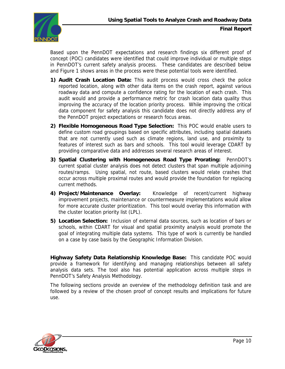

Based upon the PennDOT expectations and research findings six different proof of concept (POC) candidates were identified that could improve individual or multiple steps in PennDOT's current safety analysis process. These candidates are described below and Figure 1 shows areas in the process were these potential tools were identified.

- **1) Audit Crash Location Data:** This audit process would cross check the police reported location, along with other data items on the crash report, against various roadway data and compute a confidence rating for the location of each crash. This audit would and provide a performance metric for crash location data quality thus improving the accuracy of the location priority process. While improving the critical data component for safety analysis this candidate does not directly address any of the PennDOT project expectations or research focus areas.
- **2) Flexible Homogeneous Road Type Selection:** This POC would enable users to define custom road groupings based on specific attributes, including spatial datasets that are not currently used such as climate regions, land use, and proximity to features of interest such as bars and schools. This tool would leverage CDART by providing comparative data and addresses several research areas of interest.
- **3) Spatial Clustering with Homogeneous Road Type Prorating:** PennDOT's current spatial cluster analysis does not detect clusters that span multiple adjoining routes/ramps. Using spatial, not route, based clusters would relate crashes that occur across multiple proximal routes and would provide the foundation for replacing current methods.
- **4) Project/Maintenance Overlay:** Knowledge of recent/current highway improvement projects, maintenance or countermeasure implementations would allow for more accurate cluster prioritization. This tool would overlay this information with the cluster location priority list (LPL).
- **5) Location Selection:** Inclusion of external data sources, such as location of bars or schools, within CDART for visual and spatial proximity analysis would promote the goal of integrating multiple data systems. This type of work is currently be handled on a case by case basis by the Geographic Information Division.

**Highway Safety Data Relationship Knowledge Base:** This candidate POC would provide a framework for identifying and managing relationships between all safety analysis data sets. The tool also has potential application across multiple steps in PennDOT's Safety Analysis Methodology.

The following sections provide an overview of the methodology definition task and are followed by a review of the chosen proof of concept results and implications for future use.

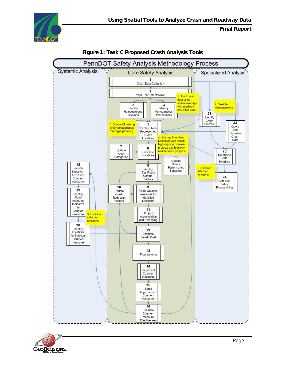





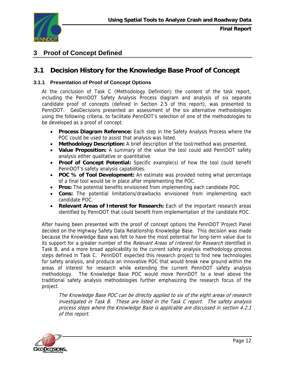<span id="page-13-0"></span>

# **3 Proof of Concept Defined**

## **3.1 Decision History for the Knowledge Base Proof of Concept**

### **3.1.1 Presentation of Proof of Concept Options**

At the conclusion of Task C (Methodology Definition) the content of the task report, including the PennDOT Safety Analysis Process diagram and analysis of six separate candidate proof of concepts (defined in Section 2.5 of this report), was presented to PennDOT. GeoDecisions presented an assessment of the six alternative methodologies using the following criteria, to facilitate PennDOT's selection of one of the methodologies to be developed as a proof of concept.

- **Process Diagram Reference:** Each step in the Safety Analysis Process where the POC could be used to assist that analysis was listed.
- **Methodology Description:** A brief description of the tool/method was presented.
- **Value Proposition:** A summary of the value the tool could add PennDOT safety analysis either qualitative or quantitative.
- **Proof of Concept Potential:** Specific example(s) of how the tool could benefit PennDOT's safety analysis capabilities.
- **POC % of Tool Development:** An estimate was provided noting what percentage of a final tool would be in place after implementing the POC.
- **Pros:** The potential benefits envisioned from implementing each candidate POC.
- **Cons:** The potential limitations/drawbacks envisioned from implementing each candidate POC.
- **Relevant Areas of Interest for Research:** Each of the important research areas identified by PennDOT that could benefit from implementation of the candidate POC.

After having been presented with the proof of concept options the PennDOT Project Panel decided on the Highway Safety Data Relationship Knowledge Base. This decision was made because the Knowledge Base was felt to have the most potential for long-term value due to its support for a greater number of the *Relevant Areas of Interest for Research* identified in Task B, and a more broad applicability to the current safety analysis methodology process steps defined in Task C. PennDOT expected this research project to find new technologies for safety analysis, and produce an innovative POC that would break new ground within the areas of interest for research while extending the current PennDOT safety analysis methodology. The Knowledge Base POC would move PennDOT to a level above the traditional safety analysis methodologies further emphasizing the research focus of the project.

The Knowledge Base POC can be directly applied to six of the eight areas of research investigated in Task B. These are listed in the Task C report. The safety analysis process steps where the Knowledge Base is applicable are discussed in section 4.2.1 of this report.

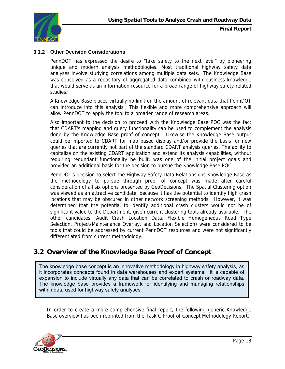<span id="page-14-0"></span>

### **3.1.2 Other Decision Considerations**

PennDOT has expressed the desire to "take safety to the next level" by pioneering unique and modern analysis methodologies. Most traditional highway safety data analyses involve studying correlations among multiple data sets. The Knowledge Base was conceived as a repository of aggregated data combined with business knowledge that would serve as an information resource for a broad range of highway safety-related studies.

A Knowledge Base places virtually no limit on the amount of relevant data that PennDOT can introduce into this analysis. This flexible and more comprehensive approach will allow PennDOT to apply the tool to a broader range of research areas.

Also important to the decision to proceed with the Knowledge Base POC was the fact that CDART's mapping and query functionality can be used to complement the analysis done by the Knowledge Base proof of concept. Likewise the Knowledge Base output could be imported to CDART for map based display and/or provide the basis for new queries that are currently not part of the standard CDART analysis queries. The ability to capitalize on the existing CDART application and extend its analysis capabilities, without requiring redundant functionality be built, was one of the initial project goals and provided an additional basis for the decision to pursue the Knowledge Base POC.

PennDOT's decision to select the Highway Safety Data Relationships Knowledge Base as the methodology to pursue through proof of concept was made after careful consideration of all six options presented by GeoDecisions. The Spatial Clustering option was viewed as an attractive candidate, because it has the potential to identify high crash locations that may be obscured in other network screening methods. However, it was determined that the potential to identify additional crash clusters would not be of significant value to the Department, given current clustering tools already available. The other candidates (Audit Crash Location Data, Flexible Homogeneous Road Type Selection, Project/Maintenance Overlay, and Location Selection) were considered to be tools that could be addressed by current PennDOT resources and were not significantly differentiated from current methodology.

### **3.2 Overview of the Knowledge Base Proof of Concept**

The knowledge base concept is an innovative methodology in highway safety analysis, as it incorporates concepts found in data warehouses and expert systems. It is capable of expansion to include virtually any data that can be correlated to crash or roadway data. The knowledge base provides a framework for identifying and managing relationships within data used for highway safety analyses.

In order to create a more comprehensive final report, the following generic Knowledge Base overview has been reprinted from the Task C Proof of Concept Methodology Report.

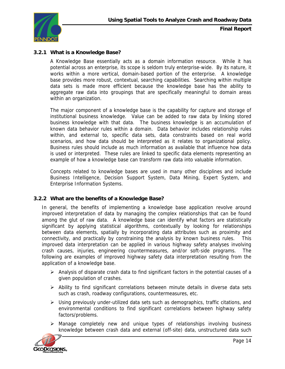<span id="page-15-0"></span>

### **3.2.1 What is a Knowledge Base?**

A Knowledge Base essentially acts as a domain information resource. While it has potential across an enterprise, its scope is seldom truly enterprise-wide. By its nature, it works within a more vertical, domain-based portion of the enterprise. A knowledge base provides more robust, contextual, searching capabilities. Searching within multiple data sets is made more efficient because the knowledge base has the ability to aggregate raw data into groupings that are specifically meaningful to domain areas within an organization.

The major component of a knowledge base is the capability for capture and storage of institutional business knowledge. Value can be added to raw data by linking stored business knowledge with that data. The business knowledge is an accumulation of known data behavior rules within a domain. Data behavior includes relationship rules within, and external to, specific data sets, data constraints based on real world scenarios, and how data should be interpreted as it relates to organizational policy. Business rules should include as much information as available that influence how data is used or interpreted. These rules are linked to specific data elements representing an example of how a knowledge base can transform raw data into valuable information.

Concepts related to knowledge bases are used in many other disciplines and include Business Intelligence, Decision Support System, Data Mining, Expert System, and Enterprise Information Systems.

#### **3.2.2 What are the benefits of a Knowledge Base?**

In general, the benefits of implementing a knowledge base application revolve around improved interpretation of data by managing the complex relationships that can be found among the glut of raw data. A knowledge base can identify what factors are statistically significant by applying statistical algorithms, contextually by looking for relationships between data elements, spatially by incorporating data attributes such as proximity and connectivity, and practically by constraining the analysis by known business rules. This improved data interpretation can be applied in various highway safety analyses involving crash causes, injuries, engineering countermeasures, and/or soft-side programs. The following are examples of improved highway safety data interpretation resulting from the application of a knowledge base.

- $\triangleright$  Analysis of disparate crash data to find significant factors in the potential causes of a given population of crashes.
- $\triangleright$  Ability to find significant correlations between minute details in diverse data sets such as crash, roadway configurations, countermeasures, etc.
- $\triangleright$  Using previously under-utilized data sets such as demographics, traffic citations, and environmental conditions to find significant correlations between highway safety factors/problems.
- ¾ Manage completely new and unique types of relationships involving business knowledge between crash data and external (off-site) data, unstructured data such

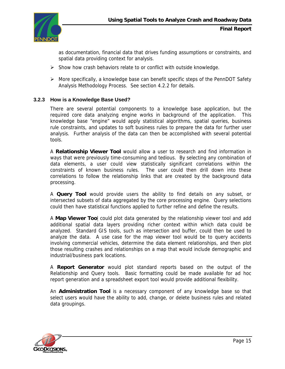<span id="page-16-0"></span>

as documentation, financial data that drives funding assumptions or constraints, and spatial data providing context for analysis.

- $\triangleright$  Show how crash behaviors relate to or conflict with outside knowledge.
- ¾ More specifically, a knowledge base can benefit specific steps of the PennDOT Safety Analysis Methodology Process. See section 4.2.2 for details.

### **3.2.3 How is a Knowledge Base Used?**

There are several potential components to a knowledge base application, but the required core data analyzing engine works in background of the application. This knowledge base "engine" would apply statistical algorithms, spatial queries, business rule constraints, and updates to soft business rules to prepare the data for further user analysis. Further analysis of the data can then be accomplished with several potential tools.

A **Relationship Viewer Tool** would allow a user to research and find information in ways that were previously time-consuming and tedious. By selecting any combination of data elements, a user could view statistically significant correlations within the constraints of known business rules. The user could then drill down into these correlations to follow the relationship links that are created by the background data processing.

A **Query Tool** would provide users the ability to find details on any subset, or intersected subsets of data aggregated by the core processing engine. Query selections could then have statistical functions applied to further refine and define the results.

A **Map Viewer Too**l could plot data generated by the relationship viewer tool and add additional spatial data layers providing richer context within which data could be analyzed. Standard GIS tools, such as intersection and buffer, could then be used to analyze the data. A use case for the map viewer tool would be to query accidents involving commercial vehicles, determine the data element relationships, and then plot those resulting crashes and relationships on a map that would include demographic and industrial/business park locations.

A **Report Generator** would plot standard reports based on the output of the Relationship and Query tools. Basic formatting could be made available for ad hoc report generation and a spreadsheet export tool would provide additional flexibility.

An **Administration Tool** is a necessary component of any knowledge base so that select users would have the ability to add, change, or delete business rules and related data groupings.

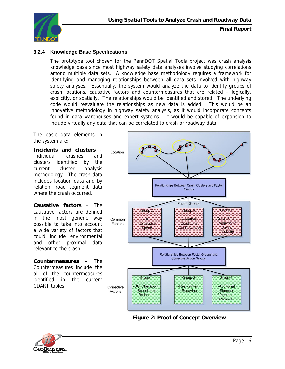<span id="page-17-0"></span>

### **3.2.4 Knowledge Base Specifications**

The prototype tool chosen for the PennDOT Spatial Tools project was crash analysis knowledge base since most highway safety data analyses involve studying correlations among multiple data sets. A knowledge base methodology requires a framework for identifying and managing relationships between all data sets involved with highway safety analyses. Essentially, the system would analyze the data to identify groups of crash locations, causative factors and countermeasures that are related – logically, explicitly, or spatially. The relationships would be identified and stored. The underlying code would reevaluate the relationships as new data is added. This would be an innovative methodology in highway safety analysis, as it would incorporate concepts found in data warehouses and expert systems. It would be capable of expansion to include virtually any data that can be correlated to crash or roadway data.

The basic data elements in the system are:

**Incidents and clusters** – Individual crashes and clusters identified by the current cluster analysis methodology. The crash data includes location data and by relation, road segment data where the crash occurred.

**Causative factors** – The causative factors are defined in the most generic way possible to take into account a wide variety of factors that could include environmental and other proximal data relevant to the crash.

**Countermeasures** – The Countermeasures include the all of the countermeasures identified in the current CDART tables.



**Figure 2: Proof of Concept Overview** 

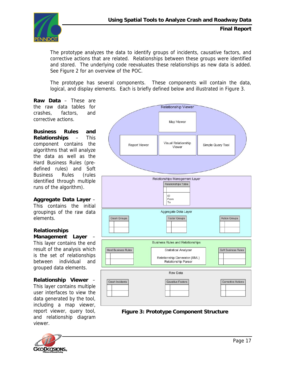

The prototype analyzes the data to identify groups of incidents, causative factors, and corrective actions that are related. Relationships between these groups were identified and stored. The underlying code reevaluates these relationships as new data is added. See Figure 2 for an overview of the POC.

The prototype has several components. These components will contain the data, logical, and display elements. Each is briefly defined below and illustrated in Figure 3.

**Raw Data** – These are the raw data tables for crashes, factors, and corrective actions.

**Business Rules and Relationships** – This component contains the algorithms that will analyze the data as well as the Hard Business Rules (predefined rules) and Soft Business Rules (rules identified through multiple runs of the algorithm).

**Aggregate Data Layer** – This contains the initial groupings of the raw data elements.

#### **Relationships Management Layer** –

This layer contains the end result of the analysis which is the set of relationships between individual and grouped data elements.

#### **Relationship Viewer** –

This layer contains multiple user interfaces to view the data generated by the tool, including a map viewer, report viewer, query tool, and relationship diagram viewer.



 **Figure 3: Prototype Component Structure** 

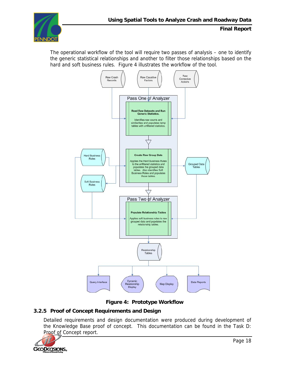<span id="page-19-0"></span>

The operational workflow of the tool will require two passes of analysis – one to identify the generic statistical relationships and another to filter those relationships based on the hard and soft business rules. Figure 4 illustrates the workflow of the tool.



### **Figure 4: Prototype Workflow**

### **3.2.5 Proof of Concept Requirements and Design**

Detailed requirements and design documentation were produced during development of the Knowledge Base proof of concept. This documentation can be found in the Task D: Proof of Concept report.

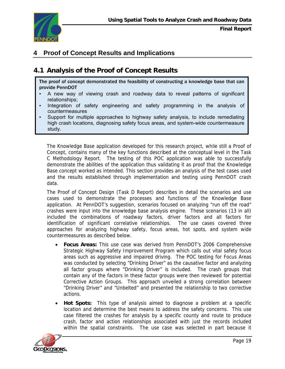<span id="page-20-0"></span>

# **4 Proof of Concept Results and Implications**

# **4.1 Analysis of the Proof of Concept Results**

The proof of concept demonstrated the feasibility of constructing a knowledge base that can provide PennDOT

- A new way of viewing crash and roadway data to reveal patterns of significant relationships;
- Integration of safety engineering and safety programming in the analysis of countermeasures
- Support for multiple approaches to highway safety analysis, to include remediating high crash locations, diagnosing safety focus areas, and system-wide countermeasure study.

The Knowledge Base application developed for this research project, while still a Proof of Concept, contains many of the key functions described at the conceptual level in the Task C Methodology Report. The testing of this POC application was able to successfully demonstrate the abilities of the application thus validating it as proof that the Knowledge Base concept worked as intended. This section provides an analysis of the test cases used and the results established through implementation and testing using PennDOT crash data.

The Proof of Concept Design (Task D Report) describes in detail the scenarios and use cases used to demonstrate the processes and functions of the Knowledge Base application. At PennDOT's suggestion, scenarios focused on analyzing "run off the road" crashes were input into the knowledge base analysis engine. These scenarios (13 in all) included the combinations of roadway factors, driver factors and all factors for identification of significant correlative relationships. The use cases covered three approaches for analyzing highway safety, focus areas, hot spots, and system wide countermeasures as described below.

- **Focus Areas:** This use case was derived from PennDOT's 2006 Comprehensive Strategic Highway Safety Improvement Program which calls out vital safety focus areas such as aggressive and impaired driving. The POC testing for Focus Areas was conducted by selecting "Drinking Driver" as the causative factor and analyzing all factor groups where "Drinking Driver" is included. The crash groups that contain any of the factors in these factor groups were then reviewed for potential Corrective Action Groups. This approach unveiled a strong correlation between "Drinking Driver" and "Unbelted" and presented the relationship to two corrective actions.
- **Hot Spots:** This type of analysis aimed to diagnose a problem at a specific location and determine the best means to address the safety concerns. This use case filtered the crashes for analysis by a specific county and route to produce crash, factor and action relationships associated with just the records included within the spatial constraints. The use case was selected in part because it

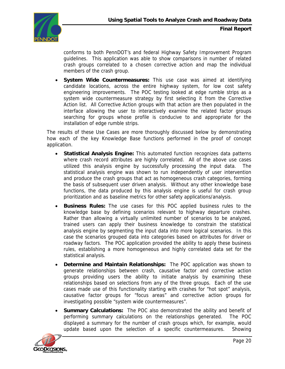

conforms to both PennDOT's and federal Highway Safety Improvement Program guidelines. This application was able to show comparisons in number of related crash groups correlated to a chosen corrective action and map the individual members of the crash group.

• **System Wide Countermeasures:** This use case was aimed at identifying candidate locations, across the entire highway system, for low cost safety engineering improvements. The POC testing looked at edge rumble strips as a system wide countermeasure strategy by first selecting it from the Corrective Action list. All Corrective Action groups with that action are then populated in the interface allowing the user to interactively examine the related factor groups searching for groups whose profile is conducive to and appropriate for the installation of edge rumble strips.

The results of these Use Cases are more thoroughly discussed below by demonstrating how each of the key Knowledge Base functions performed in the proof of concept application.

- **Statistical Analysis Engine:** This automated function recognizes data patterns where crash record attributes are highly correlated. All of the above use cases utilized this analysis engine by successfully processing the input data. statistical analysis engine was shown to run independently of user intervention and produce the crash groups that act as homogeneous crash categories, forming the basis of subsequent user driven analysis. Without any other knowledge base functions, the data produced by this analysis engine is useful for crash group prioritization and as baseline metrics for other safety applications/analysis.
- **Business Rules:** The use cases for this POC applied business rules to the knowledge base by defining scenarios relevant to highway departure crashes. Rather than allowing a virtually unlimited number of scenarios to be analyzed, trained users can apply their business knowledge to constrain the statistical analysis engine by segmenting the input data into more logical scenarios. In this case the scenarios grouped data into categories based on attributes for driver or roadway factors. The POC application provided the ability to apply these business rules, establishing a more homogeneous and highly correlated data set for the statistical analysis.
- **Determine and Maintain Relationships:** The POC application was shown to generate relationships between crash, causative factor and corrective action groups providing users the ability to initiate analysis by examining these relationships based on selections from any of the three groups. Each of the use cases made use of this functionality starting with crashes for "hot spot" analysis, causative factor groups for "focus areas" and corrective action groups for investigating possible "system wide countermeasures".
- **Summary Calculations:** The POC also demonstrated the ability and benefit of performing summary calculations on the relationships generated. The POC displayed a summary for the number of crash groups which, for example, would update based upon the selection of a specific countermeasures. Showing

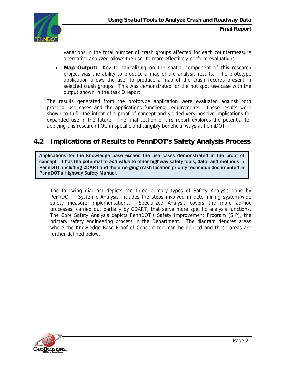<span id="page-22-0"></span>

variations in the total number of crash groups affected for each countermeasure alternative analyzed allows the user to more effectively perform evaluations.

• **Map Output:** Key to capitalizing on the spatial component of this research project was the ability to produce a map of the analysis results. The prototype application allows the user to produce a map of the crash records present in selected crash groups. This was demonstrated for the hot spot use case with the output shown in the task D report.

The results generated from the prototype application were evaluated against both practical use cases and the applications functional requirements. These results were shown to fulfill the intent of a proof of concept and yielded very positive implications for expanded use in the future. The final section of this report explores the potential for applying this research POC in specific and tangibly beneficial ways at PennDOT.

## **4.2 Implications of Results to PennDOT's Safety Analysis Process**

Applications for the knowledge base exceed the use cases demonstrated in the proof of concept. It has the potential to *add value* to other highway safety tools, data, and methods in PennDOT, including CDART and the emerging crash location priority technique documented in PennDOT's Highway Safety Manual.

The following diagram depicts the three primary types of Safety Analysis done by PennDOT. Systemic Analysis includes the steps involved in determining system-wide safety measure implementations. Specialized Analysis covers the more ad-hoc processes, carried out partially by CDART, that serve more specific analysis functions. The Core Safety Analysis depicts PennDOT's Safety Improvement Program (SIP), the primary safety engineering process in the Department. The diagram denotes areas where the Knowledge Base Proof of Concept tool can be applied and these areas are further defined below.

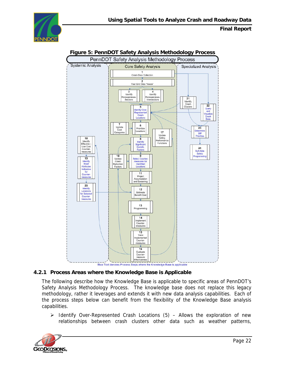<span id="page-23-0"></span>



### **Figure 5: PennDOT Safety Analysis Methodology Process**

#### **4.2.1 Process Areas where the Knowledge Base is Applicable**

The following describe how the Knowledge Base is applicable to specific areas of PennDOT's Safety Analysis Methodology Process. The knowledge base does not replace this legacy methodology, rather it leverages and extends it with new data analysis capabilities. Each of the process steps below can benefit from the flexibility of the Knowledge Base analysis capabilities.

 $\triangleright$  Identify Over-Represented Crash Locations (5) – Allows the exploration of new relationships between crash clusters other data such as weather patterns,

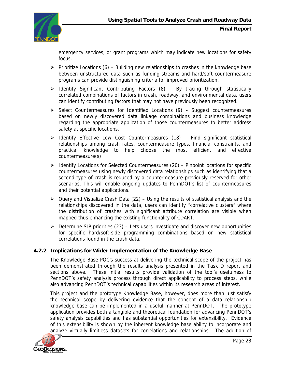<span id="page-24-0"></span>

emergency services, or grant programs which may indicate new locations for safety focus.

- $\triangleright$  Prioritize Locations (6) Building new relationships to crashes in the knowledge base between unstructured data such as funding streams and hard/soft countermeasure programs can provide distinguishing criteria for improved prioritization.
- $\triangleright$  Identify Significant Contributing Factors (8) By tracing through statistically correlated combinations of factors in crash, roadway, and environmental data, users can identify contributing factors that may not have previously been recognized.
- ¾ Select Countermeasures for Identified Locations (9) Suggest countermeasures based on newly discovered data linkage combinations and business knowledge regarding the appropriate application of those countermeasures to better address safety at specific locations.
- $\triangleright$  Identify Effective Low Cost Countermeasures (18) Find significant statistical relationships among crash rates, countermeasure types, financial constraints, and practical knowledge to help choose the most efficient and effective countermeasure(s).
- $\triangleright$  Identify Locations for Selected Countermeasures (20) Pinpoint locations for specific countermeasures using newly discovered data relationships such as identifying that a second type of crash is reduced by a countermeasure previously reserved for other scenarios. This will enable ongoing updates to PennDOT's list of countermeasures and their potential applications.
- ¾ Query and Visualize Crash Data (22) Using the results of statistical analysis and the relationships discovered in the data, users can identify "correlative clusters" where the distribution of crashes with significant attribute correlation are visible when mapped thus enhancing the existing functionality of CDART.
- $\triangleright$  Determine SIP priorities (23) Lets users investigate and discover new opportunities for specific hard/soft-side programming combinations based on new statistical correlations found in the crash data.

### **4.2.2 Implications for Wider Implementation of the Knowledge Base**

The Knowledge Base POC's success at delivering the technical scope of the project has been demonstrated through the results analysis presented in the Task D report and sections above. These initial results provide validation of the tool's usefulness to PennDOT's safety analysis process through direct applicability to process steps, while also advancing PennDOT's technical capabilities within its research areas of interest.

This project and the prototype Knowledge Base, however, does more than just satisfy the technical scope by delivering evidence that the concept of a data relationship knowledge base can be implemented in a useful manner at PennDOT. The prototype application provides both a tangible and theoretical foundation for advancing PennDOT's safety analysis capabilities and has substantial opportunities for extensibility. Evidence of this extensibility is shown by the inherent knowledge base ability to incorporate and analyze virtually limitless datasets for correlations and relationships. The addition of

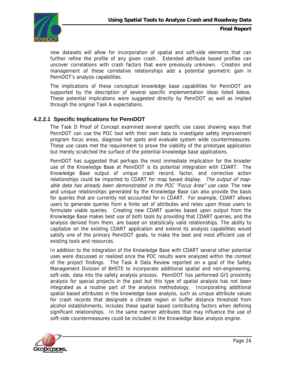

new datasets will allow for incorporation of spatial and soft-side elements that can further refine the profile of any given crash. Extended attribute based profiles can uncover correlations with crash factors that were previously unknown. Creation and management of these correlative relationships add a potential geometric gain in PennDOT's analysis capabilities.

The implications of these conceptual knowledge base capabilities for PennDOT are supported by the description of several specific implementation ideas listed below. These potential implications were suggested directly by PennDOT as well as implied through the original Task A expectations.

### **4.2.2.1 Specific Implications for PennDOT**

The Task D Proof of Concept examined several specific use cases showing ways that PennDOT can use the POC tool with their own data to investigate safety improvement program focus areas, diagnose hot spots and evaluate system wide countermeasures. These use cases met the requirement to prove the viability of the prototype application but merely scratched the surface of the potential knowledge base applications.

PennDOT has suggested that perhaps the most immediate implication for the broader use of the Knowledge Base at PennDOT is its potential integration with CDART. The Knowledge Base output of unique crash record, factor, and corrective action relationships could be imported to CDART for map based display. The output of mapable data has already been demonstrated in the POC "Focus Area" use case. The new and unique relationships generated by the Knowledge Base can also provide the basis for queries that are currently not accounted for in CDART. For example, CDART allows users to generate queries from a finite set of attributes and relies upon those users to formulate viable queries. Creating new CDART queries based upon output from the Knowledge Base makes best use of both tools by providing that CDART queries, and the analysis derived from them, are based on statistically valid relationships. The ability to capitalize on the existing CDART application and extend its analysis capabilities would satisfy one of the primary PennDOT goals, to make the best and most efficient use of existing tools and resources.

In addition to the integration of the Knowledge Base with CDART several other potential uses were discussed or realized once the POC results were analyzed within the context of the project findings. The Task A Data Review reported on a goal of the Safety Management Division of BHSTE to incorporate additional spatial and non-engineering, soft-side, data into the safety analysis process. PennDOT has performed GIS proximity analysis for special projects in the past but this type of spatial analysis has not been integrated as a routine part of the analysis methodology. Incorporating additional spatial based attributes in the knowledge base analysis, such as unique attribute values for crash records that designate a climate region or buffer distance threshold from alcohol establishments, includes these spatial based contributing factors when defining significant relationships. In the same manner attributes that may influence the use of soft-side countermeasures could be included in the Knowledge Base analysis engine.